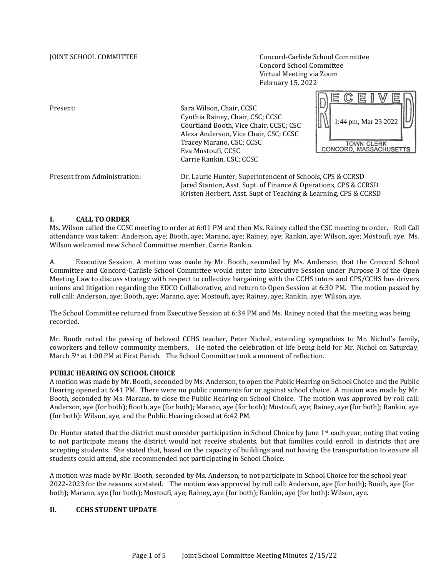JOINT SCHOOL COMMITTEE Concord-Carlisle School Committee Concord School Committee Virtual Meeting via Zoom February 15, 2022

Present: Sara Wilson, Chair, CCSC Cynthia Rainey, Chair, CSC; CCSC 1:44 pm, Mar 23 2022Courtland Booth, Vice Chair, CCSC; CSC Alexa Anderson, Vice Chair, CSC; CCSC Tracey Marano, CSC; CCSC TOWN CLERK<br>CONCORD, MASSACHUSETTS Eva Mostoufi, CCSC Carrie Rankin, CSC; CCSC Present from Administration: Dr. Laurie Hunter, Superintendent of Schools, CPS & CCRSD Jared Stanton, Asst. Supt. of Finance & Operations, CPS & CCRSD Kristen Herbert, Asst. Supt of Teaching & Learning, CPS & CCRSD

#### **I. CALL TO ORDER**

Ms. Wilson called the CCSC meeting to order at 6:01 PM and then Ms. Rainey called the CSC meeting to order. Roll Call attendance was taken: Anderson, aye; Booth, aye; Marano, aye; Rainey, aye; Rankin, aye: Wilson, aye; Mostoufi, aye. Ms. Wilson welcomed new School Committee member, Carrie Rankin.

A. Executive Session. A motion was made by Mr. Booth, seconded by Ms. Anderson, that the Concord School Committee and Concord-Carlisle School Committee would enter into Executive Session under Purpose 3 of the Open Meeting Law to discuss strategy with respect to collective bargaining with the CCHS tutors and CPS/CCHS bus drivers unions and litigation regarding the EDCO Collaborative, and return to Open Session at 6:30 PM. The motion passed by roll call: Anderson, aye; Booth, aye; Marano, aye; Mostoufi, aye; Rainey, aye; Rankin, aye: Wilson, aye.

The School Committee returned from Executive Session at 6:34 PM and Ms. Rainey noted that the meeting was being recorded.

Mr. Booth noted the passing of beloved CCHS teacher, Peter Nichol, extending sympathies to Mr. Nichol's family, coworkers and fellow community members. He noted the celebration of life being held for Mr. Nichol on Saturday, March 5th at 1:00 PM at First Parish. The School Committee took a moment of reflection.

### **PUBLIC HEARING ON SCHOOL CHOICE**

A motion was made by Mr. Booth, seconded by Ms. Anderson, to open the Public Hearing on School Choice and the Public Hearing opened at 6:41 PM. There were no public comments for or against school choice. A motion was made by Mr. Booth, seconded by Ms. Marano, to close the Public Hearing on School Choice. The motion was approved by roll call: Anderson, aye (for both); Booth, aye (for both); Marano, aye (for both); Mostoufi, aye; Rainey, aye (for both); Rankin, aye (for both): Wilson, aye, and the Public Hearing closed at 6:42 PM.

Dr. Hunter stated that the district must consider participation in School Choice by June 1<sup>st</sup> each year, noting that voting to not participate means the district would not receive students, but that families could enroll in districts that are accepting students. She stated that, based on the capacity of buildings and not having the transportation to ensure all students could attend, she recommended not participating in School Choice.

A motion was made by Mr. Booth, seconded by Ms. Anderson, to not participate in School Choice for the school year 2022-2023 for the reasons so stated. The motion was approved by roll call: Anderson, aye (for both); Booth, aye (for both); Marano, aye (for both); Mostoufi, aye; Rainey, aye (for both); Rankin, aye (for both): Wilson, aye.

### **II. CCHS STUDENT UPDATE**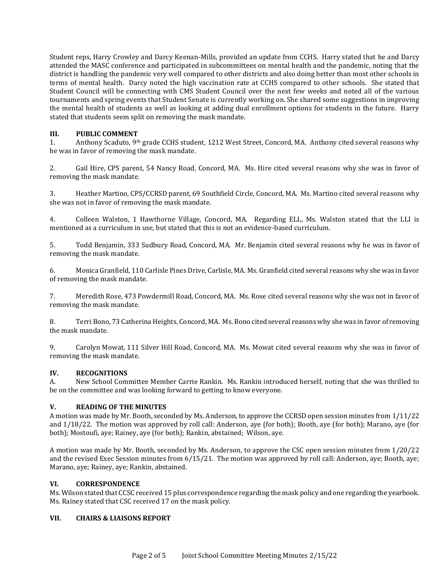Student reps, Harry Crowley and Darcy Keenan-Mills, provided an update from CCHS. Harry stated that he and Darcy attended the MASC conference and participated in subcommittees on mental health and the pandemic, noting that the district is handling the pandemic very well compared to other districts and also doing better than most other schools in terms of mental health. Darcy noted the high vaccination rate at CCHS compared to other schools. She stated that Student Council will be connecting with CMS Student Council over the next few weeks and noted all of the various tournaments and spring events that Student Senate is currently working on. She shared some suggestions in improving the mental health of students as well as looking at adding dual enrollment options for students in the future. Harry stated that students seem split on removing the mask mandate.

# **III. PUBLIC COMMENT**

1. Anthony Scaduto, 9th grade CCHS student, 1212 West Street, Concord, MA. Anthony cited several reasons why he was in favor of removing the mask mandate.

2. Gail Hire, CPS parent, 54 Nancy Road, Concord, MA. Ms. Hire cited several reasons why she was in favor of removing the mask mandate.

3. Heather Martino, CPS/CCRSD parent, 69 Southfield Circle, Concord, MA. Ms. Martino cited several reasons why she was not in favor of removing the mask mandate.

4. Colleen Walston, 1 Hawthorne Village, Concord, MA. Regarding ELL, Ms. Walston stated that the LLI is mentioned as a curriculum in use, but stated that this is not an evidence-based curriculum.

5. Todd Benjamin, 333 Sudbury Road, Concord, MA. Mr. Benjamin cited several reasons why he was in favor of removing the mask mandate.

6. Monica Granfield, 110 Carlisle Pines Drive, Carlisle, MA. Ms. Granfield cited several reasons why she was in favor of removing the mask mandate.

7. Meredith Rose, 473 Powdermill Road, Concord, MA. Ms. Rose cited several reasons why she was not in favor of removing the mask mandate.

8. Terri Bono, 73 Catherina Heights, Concord, MA. Ms. Bono cited several reasons why she was in favor of removing the mask mandate.

9. Carolyn Mowat, 111 Silver Hill Road, Concord, MA. Ms. Mowat cited several reasons why she was in favor of removing the mask mandate.

# **IV. RECOGNITIONS**

A. New School Committee Member Carrie Rankin. Ms. Rankin introduced herself, noting that she was thrilled to be on the committee and was looking forward to getting to know everyone.

### **V. READING OF THE MINUTES**

A motion was made by Mr. Booth, seconded by Ms. Anderson, to approve the CCRSD open session minutes from 1/11/22 and 1/18/22. The motion was approved by roll call: Anderson, aye (for both); Booth, aye (for both); Marano, aye (for both); Mostoufi, aye; Rainey, aye (for both); Rankin, abstained; Wilson, aye.

A motion was made by Mr. Booth, seconded by Ms. Anderson, to approve the CSC open session minutes from 1/20/22 and the revised Exec Session minutes from 6/15/21. The motion was approved by roll call: Anderson, aye; Booth, aye; Marano, aye; Rainey, aye; Rankin, abstained.

### **VI. CORRESPONDENCE**

Ms. Wilson stated that CCSC received 15 plus correspondence regarding the mask policy and one regarding the yearbook. Ms. Rainey stated that CSC received 17 on the mask policy.

### **VII. CHAIRS & LIAISONS REPORT**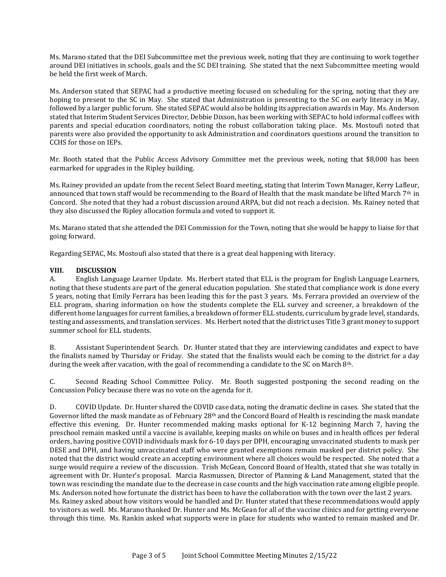Ms. Marano stated that the DEI Subcommittee met the previous week, noting that they are continuing to work together around DEI initiatives in schools, goals and the SC DEI training. She stated that the next Subcommittee meeting would be held the first week of March.

Ms. Anderson stated that SEPAC had a productive meeting focused on scheduling for the spring, noting that they are hoping to present to the SC in May. She stated that Administration is presenting to the SC on early literacy in May, followed by a larger public forum. She stated SEPAC would also be holding its appreciation awards in May. Ms. Anderson stated that Interim Student Services Director, Debbie Dixson, has been working with SEPAC to hold informal coffees with parents and special education coordinators, noting the robust collaboration taking place. Ms. Mostoufi noted that parents were also provided the opportunity to ask Administration and coordinators questions around the transition to CCHS for those on IEPs.

Mr. Booth stated that the Public Access Advisory Committee met the previous week, noting that \$8,000 has been earmarked for upgrades in the Ripley building.

Ms. Rainey provided an update from the recent Select Board meeting, stating that Interim Town Manager, Kerry Lafleur, announced that town staff would be recommending to the Board of Health that the mask mandate be lifted March 7<sup>th</sup> in Concord. She noted that they had a robust discussion around ARPA, but did not reach a decision. Ms. Rainey noted that they also discussed the Ripley allocation formula and voted to support it.

Ms. Marano stated that she attended the DEI Commission for the Town, noting that she would be happy to liaise for that going forward.

Regarding SEPAC, Ms. Mostoufi also stated that there is a great deal happening with literacy.

#### **VIII. DISCUSSION**

A. English Language Learner Update. Ms. Herbert stated that ELL is the program for English Language Learners, noting that these students are part of the general education population. She stated that compliance work is done every 5 years, noting that Emily Ferrara has been leading this for the past 3 years. Ms. Ferrara provided an overview of the ELL program, sharing information on how the students complete the ELL survey and screener, a breakdown of the different home languages for current families, a breakdown of former ELL students, curriculum by grade level, standards, testing and assessments, and translation services. Ms. Herbert noted that the district uses Title 3 grant money to support summer school for ELL students.

B. Assistant Superintendent Search. Dr. Hunter stated that they are interviewing candidates and expect to have the finalists named by Thursday or Friday. She stated that the finalists would each be coming to the district for a day during the week after vacation, with the goal of recommending a candidate to the SC on March 8th.

C. Second Reading School Committee Policy. Mr. Booth suggested postponing the second reading on the Concussion Policy because there was no vote on the agenda for it.

D. COVID Update. Dr. Hunter shared the COVID case data, noting the dramatic decline in cases. She stated that the Governor lifted the mask mandate as of February  $28<sup>th</sup>$  and the Concord Board of Health is rescinding the mask mandate effective this evening. Dr. Hunter recommended making masks optional for K-12 beginning March 7, having the preschool remain masked until a vaccine is available, keeping masks on while on buses and in health offices per federal orders, having positive COVID individuals mask for 6-10 days per DPH, encouraging unvaccinated students to mask per DESE and DPH, and having unvaccinated staff who were granted exemptions remain masked per district policy. She noted that the district would create an accepting environment where all choices would be respected. She noted that a surge would require a review of the discussion. Trish McGean, Concord Board of Health, stated that she was totally in agreement with Dr. Hunter's proposal. Marcia Rasmussen, Director of Planning & Land Management, stated that the town was rescinding the mandate due to the decrease in case counts and the high vaccination rate among eligible people. Ms. Anderson noted how fortunate the district has been to have the collaboration with the town over the last 2 years. Ms. Rainey asked about how visitors would be handled and Dr. Hunter stated that these recommendations would apply to visitors as well. Ms. Marano thanked Dr. Hunter and Ms. McGean for all of the vaccine clinics and for getting everyone through this time. Ms. Rankin asked what supports were in place for students who wanted to remain masked and Dr.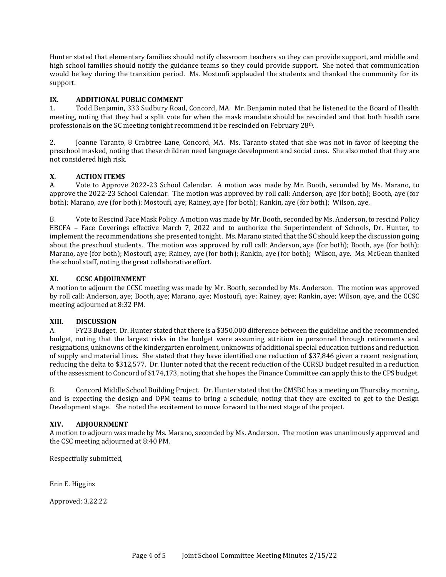Hunter stated that elementary families should notify classroom teachers so they can provide support, and middle and high school families should notify the guidance teams so they could provide support. She noted that communication would be key during the transition period. Ms. Mostoufi applauded the students and thanked the community for its support.

# **IX. ADDITIONAL PUBLIC COMMENT**

1. Todd Benjamin, 333 Sudbury Road, Concord, MA. Mr. Benjamin noted that he listened to the Board of Health meeting, noting that they had a split vote for when the mask mandate should be rescinded and that both health care professionals on the SC meeting tonight recommend it be rescinded on February 28th.

2. Joanne Taranto, 8 Crabtree Lane, Concord, MA. Ms. Taranto stated that she was not in favor of keeping the preschool masked, noting that these children need language development and social cues. She also noted that they are not considered high risk.

# **X. ACTION ITEMS**

A. Vote to Approve 2022-23 School Calendar. A motion was made by Mr. Booth, seconded by Ms. Marano, to approve the 2022-23 School Calendar. The motion was approved by roll call: Anderson, aye (for both); Booth, aye (for both); Marano, aye (for both); Mostoufi, aye; Rainey, aye (for both); Rankin, aye (for both); Wilson, aye.

B. Vote to Rescind Face Mask Policy. A motion was made by Mr. Booth, seconded by Ms. Anderson, to rescind Policy EBCFA – Face Coverings effective March 7, 2022 and to authorize the Superintendent of Schools, Dr. Hunter, to implement the recommendations she presented tonight. Ms. Marano stated that the SC should keep the discussion going about the preschool students. The motion was approved by roll call: Anderson, aye (for both); Booth, aye (for both); Marano, aye (for both); Mostoufi, aye; Rainey, aye (for both); Rankin, aye (for both); Wilson, aye. Ms. McGean thanked the school staff, noting the great collaborative effort.

# **XI. CCSC ADJOURNMENT**

A motion to adjourn the CCSC meeting was made by Mr. Booth, seconded by Ms. Anderson. The motion was approved by roll call: Anderson, aye; Booth, aye; Marano, aye; Mostoufi, aye; Rainey, aye; Rankin, aye; Wilson, aye, and the CCSC meeting adjourned at 8:32 PM.

### **XIII. DISCUSSION**

A. FY23 Budget. Dr. Hunter stated that there is a \$350,000 difference between the guideline and the recommended budget, noting that the largest risks in the budget were assuming attrition in personnel through retirements and resignations, unknowns of the kindergarten enrolment, unknowns of additional special education tuitions and reduction of supply and material lines. She stated that they have identified one reduction of \$37,846 given a recent resignation, reducing the delta to \$312,577. Dr. Hunter noted that the recent reduction of the CCRSD budget resulted in a reduction of the assessment to Concord of \$174,173, noting that she hopes the Finance Committee can apply this to the CPS budget.

B. Concord Middle School Building Project. Dr. Hunter stated that the CMSBC has a meeting on Thursday morning, and is expecting the design and OPM teams to bring a schedule, noting that they are excited to get to the Design Development stage. She noted the excitement to move forward to the next stage of the project.

# **XIV. ADJOURNMENT**

A motion to adjourn was made by Ms. Marano, seconded by Ms. Anderson. The motion was unanimously approved and the CSC meeting adjourned at 8:40 PM.

Respectfully submitted,

Erin E. Higgins

Approved: 3.22.22